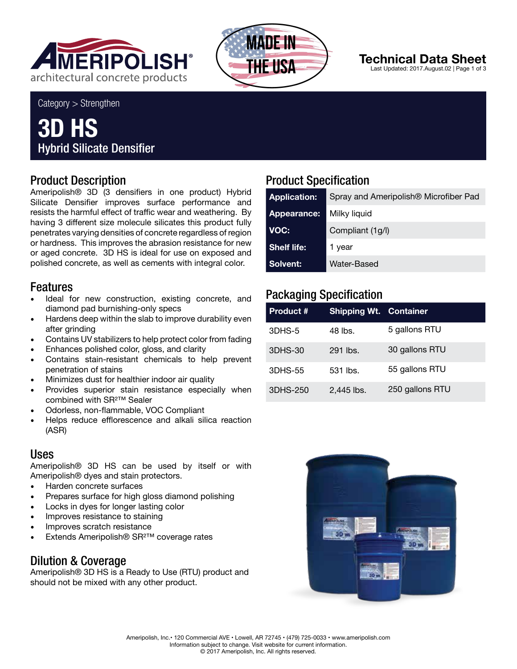



# **Technical Data Sheet**

Last Updated: 2017.August.02 | Page 1 of 3

Category > Strengthen

# **3D HS** Hybrid Silicate Densifier

#### Product Description

Ameripolish® 3D (3 densifiers in one product) Hybrid Silicate Densifier improves surface performance and resists the harmful effect of traffic wear and weathering. By having 3 different size molecule silicates this product fully penetrates varying densities of concrete regardless of region or hardness. This improves the abrasion resistance for new or aged concrete. 3D HS is ideal for use on exposed and polished concrete, as well as cements with integral color.

#### Features

- Ideal for new construction, existing concrete, and diamond pad burnishing-only specs
- Hardens deep within the slab to improve durability even after grinding
- Contains UV stabilizers to help protect color from fading
- Enhances polished color, gloss, and clarity
- Contains stain-resistant chemicals to help prevent penetration of stains
- Minimizes dust for healthier indoor air quality
- Provides superior stain resistance especially when combined with SR²™ Sealer
- Odorless, non-flammable, VOC Compliant
- Helps reduce efflorescence and alkali silica reaction (ASR)

#### Uses

Ameripolish® 3D HS can be used by itself or with Ameripolish® dyes and stain protectors.

- Harden concrete surfaces
- Prepares surface for high gloss diamond polishing
- Locks in dyes for longer lasting color
- Improves resistance to staining
- Improves scratch resistance
- Extends Ameripolish® SR²™ coverage rates

#### Dilution & Coverage

Ameripolish® 3D HS is a Ready to Use (RTU) product and should not be mixed with any other product.

## Product Specification

| <b>Application:</b> | Spray and Ameripolish <sup>®</sup> Microfiber Pad |  |  |
|---------------------|---------------------------------------------------|--|--|
| Appearance:         | Milky liquid                                      |  |  |
| VOC:                | Compliant (1g/l)                                  |  |  |
| <b>Shelf life:</b>  | 1 year                                            |  |  |
| <b>Solvent:</b>     | Water-Based                                       |  |  |

### Packaging Specification

| Product # | <b>Shipping Wt. Container</b> |                 |
|-----------|-------------------------------|-----------------|
| 3DHS-5    | 48 lbs.                       | 5 gallons RTU   |
| 3DHS-30   | 291 lbs.                      | 30 gallons RTU  |
| 3DHS-55   | 531 lbs.                      | 55 gallons RTU  |
| 3DHS-250  | 2,445 lbs.                    | 250 gallons RTU |

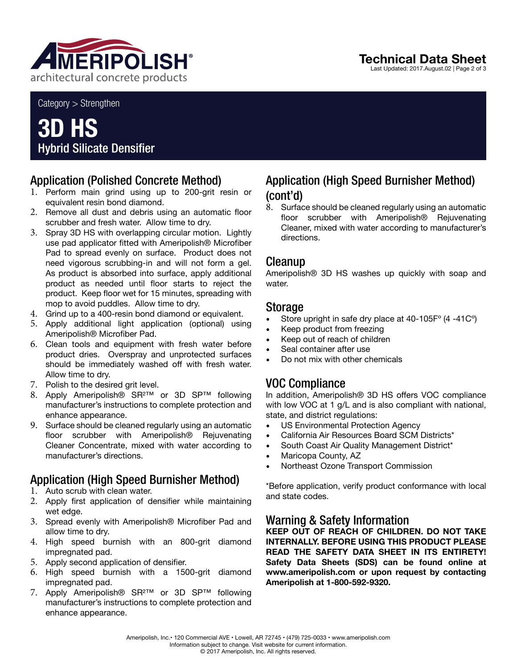

Category > Strengthen

# **3D HS** Hybrid Silicate Densifier

#### Application (Polished Concrete Method)

- 1. Perform main grind using up to 200-grit resin or equivalent resin bond diamond.
- 2. Remove all dust and debris using an automatic floor scrubber and fresh water. Allow time to dry.
- 3. Spray 3D HS with overlapping circular motion. Lightly use pad applicator fitted with Ameripolish® Microfiber Pad to spread evenly on surface. Product does not need vigorous scrubbing-in and will not form a gel. As product is absorbed into surface, apply additional product as needed until floor starts to reject the product. Keep floor wet for 15 minutes, spreading with mop to avoid puddles. Allow time to dry.
- 4. Grind up to a 400-resin bond diamond or equivalent.
- 5. Apply additional light application (optional) using Ameripolish® Microfiber Pad.
- 6. Clean tools and equipment with fresh water before product dries. Overspray and unprotected surfaces should be immediately washed off with fresh water. Allow time to dry.
- 7. Polish to the desired grit level.
- 8. Apply Ameripolish® SR²™ or 3D SP™ following manufacturer's instructions to complete protection and enhance appearance.
- 9. Surface should be cleaned regularly using an automatic floor scrubber with Ameripolish® Rejuvenating Cleaner Concentrate, mixed with water according to manufacturer's directions.

## Application (High Speed Burnisher Method)

- 1. Auto scrub with clean water.
- 2. Apply first application of densifier while maintaining wet edge.
- 3. Spread evenly with Ameripolish® Microfiber Pad and allow time to dry.
- 4. High speed burnish with an 800-grit diamond impregnated pad.
- 5. Apply second application of densifier.
- 6. High speed burnish with a 1500-grit diamond impregnated pad.
- 7. Apply Ameripolish® SR²™ or 3D SP™ following manufacturer's instructions to complete protection and enhance appearance.

#### Application (High Speed Burnisher Method) (cont'd)

8. Surface should be cleaned regularly using an automatic floor scrubber with Ameripolish® Rejuvenating Cleaner, mixed with water according to manufacturer's directions.

#### Cleanup

Ameripolish® 3D HS washes up quickly with soap and water.

#### Storage

- Store upright in safe dry place at 40-105Fº (4 -41Cº)
- Keep product from freezing
- Keep out of reach of children
- Seal container after use
- Do not mix with other chemicals

#### VOC Compliance

In addition, Ameripolish® 3D HS offers VOC compliance with low VOC at 1 g/L and is also compliant with national, state, and district regulations:

- US Environmental Protection Agency
- California Air Resources Board SCM Districts\*
- South Coast Air Quality Management District\*
- Maricopa County, AZ
- Northeast Ozone Transport Commission

\*Before application, verify product conformance with local and state codes.

#### Warning & Safety Information

**KEEP OUT OF REACH OF CHILDREN. DO NOT TAKE INTERNALLY. BEFORE USING THIS PRODUCT PLEASE READ THE SAFETY DATA SHEET IN ITS ENTIRETY! Safety Data Sheets (SDS) can be found online at www.ameripolish.com or upon request by contacting Ameripolish at 1-800-592-9320.**